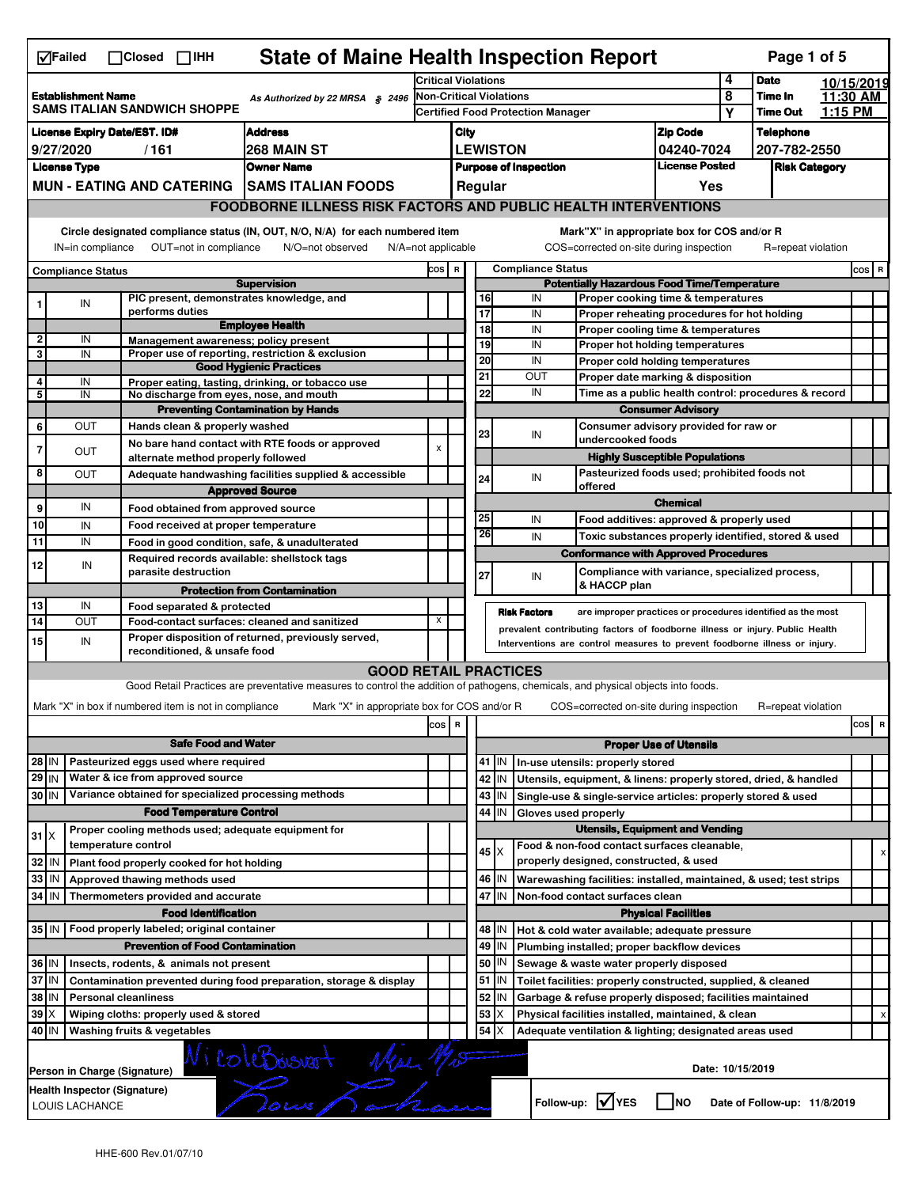| <b>Critical Violations</b><br>Non-Critical Violations<br><b>Establishment Name</b><br>As Authorized by 22 MRSA § 2496<br><b>SAMS ITALIAN SANDWICH SHOPPE</b><br>Certified Food Protection Manager<br><b>License Expiry Date/EST. ID#</b><br><b>Address</b><br><b>Zip Code</b><br>City |                  | <b>State of Maine Health Inspection Report</b><br>Page 1 of 5<br>$\nabla$ Failed<br>$\Box$ Closed $\Box$ IHH |            |                                                               |  |  |  |  |  |  |
|---------------------------------------------------------------------------------------------------------------------------------------------------------------------------------------------------------------------------------------------------------------------------------------|------------------|--------------------------------------------------------------------------------------------------------------|------------|---------------------------------------------------------------|--|--|--|--|--|--|
|                                                                                                                                                                                                                                                                                       | 4                | <b>Date</b>                                                                                                  | 10/15/2019 |                                                               |  |  |  |  |  |  |
|                                                                                                                                                                                                                                                                                       | 8                | Time In                                                                                                      | 11:30 AM   |                                                               |  |  |  |  |  |  |
|                                                                                                                                                                                                                                                                                       | Υ                | <b>Time Out</b>                                                                                              | 1:15 PM    |                                                               |  |  |  |  |  |  |
|                                                                                                                                                                                                                                                                                       |                  | <b>Telephone</b>                                                                                             |            |                                                               |  |  |  |  |  |  |
| <b>LEWISTON</b><br>9/27/2020<br>/161<br>268 MAIN ST<br>04240-7024<br><b>License Posted</b><br><b>License Type</b><br><b>Owner Name</b><br><b>Purpose of Inspection</b>                                                                                                                |                  | 207-782-2550                                                                                                 |            |                                                               |  |  |  |  |  |  |
| MUN - EATING AND CATERING SAMS ITALIAN FOODS                                                                                                                                                                                                                                          | Yes              | <b>Risk Category</b>                                                                                         |            |                                                               |  |  |  |  |  |  |
| Regular<br><b>FOODBORNE ILLNESS RISK FACTORS AND PUBLIC HEALTH INTERVENTIONS</b>                                                                                                                                                                                                      |                  |                                                                                                              |            |                                                               |  |  |  |  |  |  |
|                                                                                                                                                                                                                                                                                       |                  |                                                                                                              |            |                                                               |  |  |  |  |  |  |
| Circle designated compliance status (IN, OUT, N/O, N/A) for each numbered item<br>Mark"X" in appropriate box for COS and/or R<br>OUT=not in compliance<br>COS=corrected on-site during inspection<br>IN=in compliance<br>N/O=not observed<br>N/A=not applicable<br>R=repeat violation |                  |                                                                                                              |            |                                                               |  |  |  |  |  |  |
| <b>Compliance Status</b><br>COS R<br><b>Compliance Status</b>                                                                                                                                                                                                                         | COS R            |                                                                                                              |            |                                                               |  |  |  |  |  |  |
| <b>Potentially Hazardous Food Time/Temperature</b><br><b>Supervision</b><br>PIC present, demonstrates knowledge, and<br>16<br>IN<br>Proper cooking time & temperatures                                                                                                                |                  |                                                                                                              |            |                                                               |  |  |  |  |  |  |
| IN<br>1<br>performs duties<br>17<br>IN<br>Proper reheating procedures for hot holding                                                                                                                                                                                                 |                  |                                                                                                              |            |                                                               |  |  |  |  |  |  |
| <b>Employee Health</b><br>18<br>IN<br>Proper cooling time & temperatures                                                                                                                                                                                                              |                  |                                                                                                              |            |                                                               |  |  |  |  |  |  |
| $\overline{2}$<br>IN<br>Management awareness; policy present<br>19<br>IN<br>Proper hot holding temperatures                                                                                                                                                                           |                  |                                                                                                              |            |                                                               |  |  |  |  |  |  |
| 3<br>Proper use of reporting, restriction & exclusion<br>IN<br>20<br>IN<br>Proper cold holding temperatures<br><b>Good Hygienic Practices</b>                                                                                                                                         |                  |                                                                                                              |            |                                                               |  |  |  |  |  |  |
| 21<br>OUT<br>Proper date marking & disposition<br>4<br>IN<br>Proper eating, tasting, drinking, or tobacco use                                                                                                                                                                         |                  |                                                                                                              |            |                                                               |  |  |  |  |  |  |
| 22<br>IN<br>Time as a public health control: procedures & record<br>5<br>IN<br>No discharge from eyes, nose, and mouth                                                                                                                                                                |                  |                                                                                                              |            |                                                               |  |  |  |  |  |  |
| <b>Preventing Contamination by Hands</b><br><b>Consumer Advisory</b>                                                                                                                                                                                                                  |                  |                                                                                                              |            |                                                               |  |  |  |  |  |  |
| ΟUΤ<br>Consumer advisory provided for raw or<br>6<br>Hands clean & properly washed<br>23<br>IN                                                                                                                                                                                        |                  |                                                                                                              |            |                                                               |  |  |  |  |  |  |
| undercooked foods<br>No bare hand contact with RTE foods or approved<br>$\boldsymbol{\mathsf{x}}$<br>$\overline{7}$<br>OUT                                                                                                                                                            |                  |                                                                                                              |            |                                                               |  |  |  |  |  |  |
| <b>Highly Susceptible Populations</b><br>alternate method properly followed                                                                                                                                                                                                           |                  |                                                                                                              |            |                                                               |  |  |  |  |  |  |
| 8<br>Pasteurized foods used; prohibited foods not<br>OUT<br>Adequate handwashing facilities supplied & accessible<br>24<br>IN<br>offered                                                                                                                                              |                  |                                                                                                              |            |                                                               |  |  |  |  |  |  |
| <b>Approved Source</b><br><b>Chemical</b><br>IN                                                                                                                                                                                                                                       |                  |                                                                                                              |            |                                                               |  |  |  |  |  |  |
| 9<br>Food obtained from approved source<br>25<br>IN<br>Food additives: approved & properly used                                                                                                                                                                                       |                  |                                                                                                              |            |                                                               |  |  |  |  |  |  |
| 10<br>IN<br>Food received at proper temperature<br>26<br>IN<br>Toxic substances properly identified, stored & used<br>11<br>IN                                                                                                                                                        |                  |                                                                                                              |            |                                                               |  |  |  |  |  |  |
| Food in good condition, safe, & unadulterated<br><b>Conformance with Approved Procedures</b><br>Required records available: shellstock tags                                                                                                                                           |                  |                                                                                                              |            |                                                               |  |  |  |  |  |  |
| 12<br>IN<br>parasite destruction<br>Compliance with variance, specialized process,<br>27                                                                                                                                                                                              |                  |                                                                                                              |            |                                                               |  |  |  |  |  |  |
| IN<br>& HACCP plan<br><b>Protection from Contamination</b>                                                                                                                                                                                                                            |                  |                                                                                                              |            |                                                               |  |  |  |  |  |  |
| 13<br>IN<br>Food separated & protected                                                                                                                                                                                                                                                |                  |                                                                                                              |            |                                                               |  |  |  |  |  |  |
| <b>Risk Factors</b><br>are improper practices or procedures identified as the most<br>14<br>X<br>OUT<br>Food-contact surfaces: cleaned and sanitized<br>prevalent contributing factors of foodborne illness or injury. Public Health                                                  |                  |                                                                                                              |            |                                                               |  |  |  |  |  |  |
| Proper disposition of returned, previously served,<br>15<br>IN<br>Interventions are control measures to prevent foodborne illness or injury.                                                                                                                                          |                  |                                                                                                              |            |                                                               |  |  |  |  |  |  |
| reconditioned, & unsafe food                                                                                                                                                                                                                                                          |                  |                                                                                                              |            |                                                               |  |  |  |  |  |  |
| <b>GOOD RETAIL PRACTICES</b>                                                                                                                                                                                                                                                          |                  |                                                                                                              |            |                                                               |  |  |  |  |  |  |
| Good Retail Practices are preventative measures to control the addition of pathogens, chemicals, and physical objects into foods.                                                                                                                                                     |                  |                                                                                                              |            |                                                               |  |  |  |  |  |  |
| Mark "X" in box if numbered item is not in compliance<br>Mark "X" in appropriate box for COS and/or R                                                                                                                                                                                 |                  |                                                                                                              |            | COS=corrected on-site during inspection<br>R=repeat violation |  |  |  |  |  |  |
| $\overline{\mathbf{R}}$                                                                                                                                                                                                                                                               |                  |                                                                                                              |            |                                                               |  |  |  |  |  |  |
| cos                                                                                                                                                                                                                                                                                   |                  |                                                                                                              |            | cos<br>R                                                      |  |  |  |  |  |  |
| <b>Safe Food and Water</b><br><b>Proper Use of Utensils</b>                                                                                                                                                                                                                           |                  |                                                                                                              |            |                                                               |  |  |  |  |  |  |
| Pasteurized eggs used where required<br>28 IN<br>41 J IN<br>In-use utensils: properly stored                                                                                                                                                                                          |                  |                                                                                                              |            |                                                               |  |  |  |  |  |  |
| Water & ice from approved source<br>$29$ IN<br>42 IN<br>Utensils, equipment, & linens: properly stored, dried, & handled                                                                                                                                                              |                  |                                                                                                              |            |                                                               |  |  |  |  |  |  |
| Variance obtained for specialized processing methods<br>30 IN<br>43   IN<br>Single-use & single-service articles: properly stored & used                                                                                                                                              |                  |                                                                                                              |            |                                                               |  |  |  |  |  |  |
| <b>Food Temperature Control</b><br>Gloves used properly<br>44<br>IN                                                                                                                                                                                                                   |                  |                                                                                                              |            |                                                               |  |  |  |  |  |  |
| <b>Utensils, Equipment and Vending</b><br>Proper cooling methods used; adequate equipment for                                                                                                                                                                                         |                  |                                                                                                              |            |                                                               |  |  |  |  |  |  |
| $31$ $\times$<br>temperature control<br>Food & non-food contact surfaces cleanable,<br>$45 \times$                                                                                                                                                                                    |                  |                                                                                                              |            | х                                                             |  |  |  |  |  |  |
| properly designed, constructed, & used<br>32<br>IN<br>Plant food properly cooked for hot holding                                                                                                                                                                                      |                  |                                                                                                              |            |                                                               |  |  |  |  |  |  |
| 33<br>46 IN<br>IN<br>Approved thawing methods used<br>Warewashing facilities: installed, maintained, & used; test strips                                                                                                                                                              |                  |                                                                                                              |            |                                                               |  |  |  |  |  |  |
| 47<br>34<br>IN<br><b>IN</b><br>Thermometers provided and accurate<br>Non-food contact surfaces clean                                                                                                                                                                                  |                  |                                                                                                              |            |                                                               |  |  |  |  |  |  |
| <b>Food Identification</b><br><b>Physical Facilities</b>                                                                                                                                                                                                                              |                  |                                                                                                              |            |                                                               |  |  |  |  |  |  |
| 35 IN   Food properly labeled; original container<br>48   IN<br>Hot & cold water available; adequate pressure                                                                                                                                                                         |                  |                                                                                                              |            |                                                               |  |  |  |  |  |  |
| 49<br><b>Prevention of Food Contamination</b><br>IN<br>Plumbing installed; proper backflow devices                                                                                                                                                                                    |                  |                                                                                                              |            |                                                               |  |  |  |  |  |  |
| 50<br>36 IN<br>IN<br>Insects, rodents, & animals not present<br>Sewage & waste water properly disposed                                                                                                                                                                                |                  |                                                                                                              |            |                                                               |  |  |  |  |  |  |
| 37 IN<br>51<br>Contamination prevented during food preparation, storage & display<br>Toilet facilities: properly constructed, supplied, & cleaned<br>IN                                                                                                                               |                  |                                                                                                              |            |                                                               |  |  |  |  |  |  |
| 38<br>52<br>IN<br><b>Personal cleanliness</b><br>Garbage & refuse properly disposed; facilities maintained<br>ΙN                                                                                                                                                                      |                  |                                                                                                              |            |                                                               |  |  |  |  |  |  |
| 53<br>39<br>Iχ<br>Wiping cloths: properly used & stored<br>х<br>Physical facilities installed, maintained, & clean                                                                                                                                                                    |                  |                                                                                                              |            |                                                               |  |  |  |  |  |  |
| 54<br>40 IN<br>Washing fruits & vegetables<br>IX<br>Adequate ventilation & lighting; designated areas used                                                                                                                                                                            |                  |                                                                                                              |            |                                                               |  |  |  |  |  |  |
| NicoleBourt Neu Mo<br>Person in Charge (Signature)                                                                                                                                                                                                                                    | Date: 10/15/2019 |                                                                                                              |            |                                                               |  |  |  |  |  |  |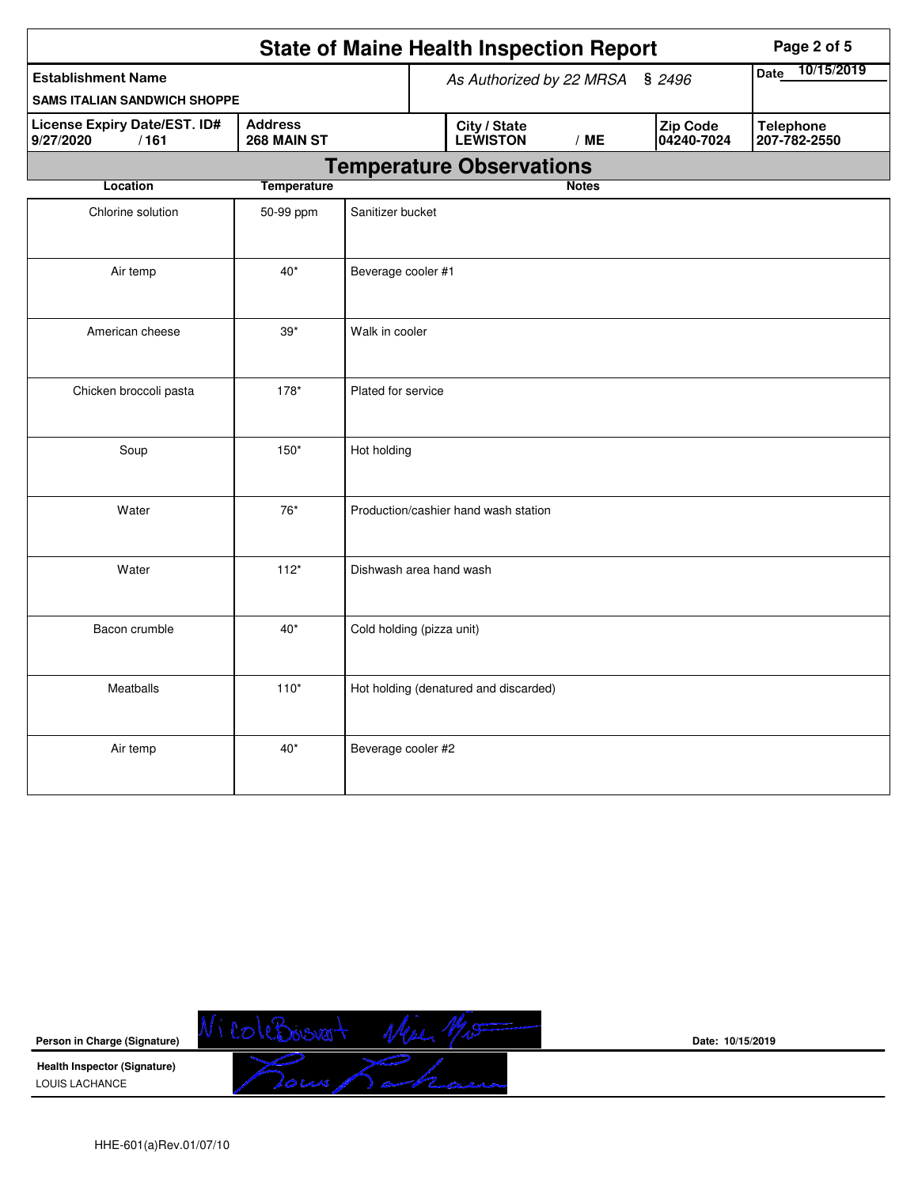|                                                                  |                               | <b>State of Maine Health Inspection Report</b> |                                       |              | Page 2 of 5            |                                  |
|------------------------------------------------------------------|-------------------------------|------------------------------------------------|---------------------------------------|--------------|------------------------|----------------------------------|
| <b>Establishment Name</b><br><b>SAMS ITALIAN SANDWICH SHOPPE</b> |                               |                                                | As Authorized by 22 MRSA              |              | \$2496                 | 10/15/2019<br>Date               |
| License Expiry Date/EST. ID#<br>9/27/2020<br>/161                | <b>Address</b><br>268 MAIN ST |                                                | City / State<br>LEWISTON              | /ME          | Zip Code<br>04240-7024 | <b>Telephone</b><br>207-782-2550 |
|                                                                  |                               | <b>Temperature Observations</b>                |                                       |              |                        |                                  |
| <b>Location</b>                                                  | <b>Temperature</b>            |                                                |                                       | <b>Notes</b> |                        |                                  |
| Chlorine solution                                                | 50-99 ppm                     | Sanitizer bucket                               |                                       |              |                        |                                  |
| Air temp                                                         | $40*$                         | Beverage cooler #1                             |                                       |              |                        |                                  |
| American cheese                                                  | $39*$                         | Walk in cooler                                 |                                       |              |                        |                                  |
| Chicken broccoli pasta                                           | 178*                          | Plated for service                             |                                       |              |                        |                                  |
| Soup                                                             | 150*                          | Hot holding                                    |                                       |              |                        |                                  |
| Water                                                            | 76*                           |                                                | Production/cashier hand wash station  |              |                        |                                  |
| Water                                                            | $112*$                        | Dishwash area hand wash                        |                                       |              |                        |                                  |
| Bacon crumble                                                    | $40*$                         | Cold holding (pizza unit)                      |                                       |              |                        |                                  |
| Meatballs                                                        | $110*$                        |                                                | Hot holding (denatured and discarded) |              |                        |                                  |
| Air temp                                                         | $40*$                         | Beverage cooler #2                             |                                       |              |                        |                                  |



**Date: 10/15/2019**

HHE-601(a)Rev.01/07/10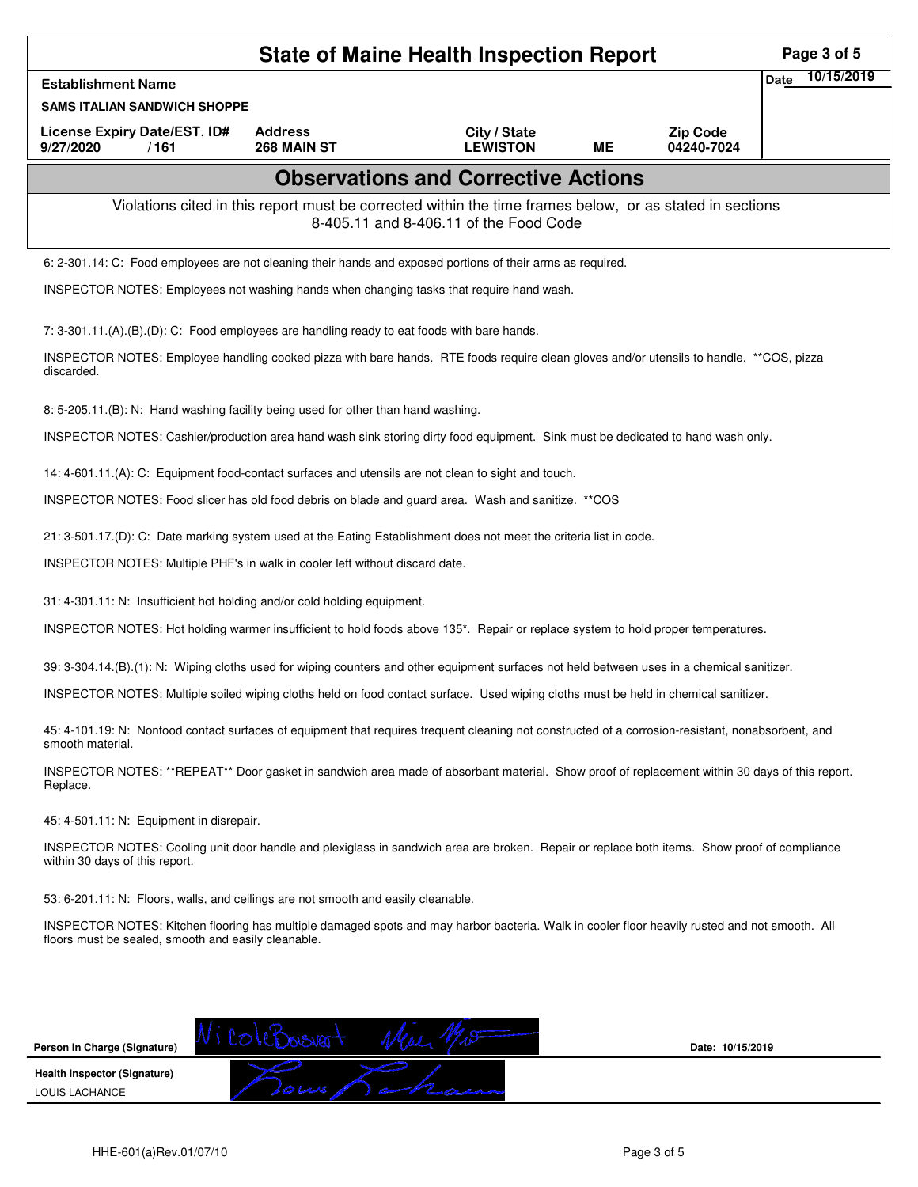| <b>State of Maine Health Inspection Report</b>                                                                                                                                                       |                               |                                                                                                                                                    |           |                               | Page 3 of 5               |
|------------------------------------------------------------------------------------------------------------------------------------------------------------------------------------------------------|-------------------------------|----------------------------------------------------------------------------------------------------------------------------------------------------|-----------|-------------------------------|---------------------------|
| <b>Establishment Name</b>                                                                                                                                                                            |                               |                                                                                                                                                    |           |                               | 10/15/2019<br><b>Date</b> |
| <b>SAMS ITALIAN SANDWICH SHOPPE</b>                                                                                                                                                                  |                               |                                                                                                                                                    |           |                               |                           |
| License Expiry Date/EST. ID#<br>9/27/2020<br>/161                                                                                                                                                    | <b>Address</b><br>268 MAIN ST | City / State<br><b>LEWISTON</b>                                                                                                                    | <b>ME</b> | <b>Zip Code</b><br>04240-7024 |                           |
| <b>Observations and Corrective Actions</b>                                                                                                                                                           |                               |                                                                                                                                                    |           |                               |                           |
|                                                                                                                                                                                                      |                               | Violations cited in this report must be corrected within the time frames below, or as stated in sections<br>8-405.11 and 8-406.11 of the Food Code |           |                               |                           |
| 6: 2-301.14: C: Food employees are not cleaning their hands and exposed portions of their arms as required.                                                                                          |                               |                                                                                                                                                    |           |                               |                           |
| INSPECTOR NOTES: Employees not washing hands when changing tasks that require hand wash.                                                                                                             |                               |                                                                                                                                                    |           |                               |                           |
| 7: 3-301.11.(A).(B).(D): C: Food employees are handling ready to eat foods with bare hands.                                                                                                          |                               |                                                                                                                                                    |           |                               |                           |
| INSPECTOR NOTES: Employee handling cooked pizza with bare hands. RTE foods require clean gloves and/or utensils to handle. **COS, pizza<br>discarded.                                                |                               |                                                                                                                                                    |           |                               |                           |
| 8: 5-205.11.(B): N: Hand washing facility being used for other than hand washing.                                                                                                                    |                               |                                                                                                                                                    |           |                               |                           |
| INSPECTOR NOTES: Cashier/production area hand wash sink storing dirty food equipment. Sink must be dedicated to hand wash only.                                                                      |                               |                                                                                                                                                    |           |                               |                           |
| 14: 4-601.11.(A): C: Equipment food-contact surfaces and utensils are not clean to sight and touch.                                                                                                  |                               |                                                                                                                                                    |           |                               |                           |
| INSPECTOR NOTES: Food slicer has old food debris on blade and guard area. Wash and sanitize. ** COS                                                                                                  |                               |                                                                                                                                                    |           |                               |                           |
| 21: 3-501.17.(D): C: Date marking system used at the Eating Establishment does not meet the criteria list in code.                                                                                   |                               |                                                                                                                                                    |           |                               |                           |
| INSPECTOR NOTES: Multiple PHF's in walk in cooler left without discard date.                                                                                                                         |                               |                                                                                                                                                    |           |                               |                           |
| 31: 4-301.11: N: Insufficient hot holding and/or cold holding equipment.                                                                                                                             |                               |                                                                                                                                                    |           |                               |                           |
| INSPECTOR NOTES: Hot holding warmer insufficient to hold foods above 135*. Repair or replace system to hold proper temperatures.                                                                     |                               |                                                                                                                                                    |           |                               |                           |
| 39: 3-304.14.(B).(1): N: Wiping cloths used for wiping counters and other equipment surfaces not held between uses in a chemical sanitizer.                                                          |                               |                                                                                                                                                    |           |                               |                           |
| INSPECTOR NOTES: Multiple soiled wiping cloths held on food contact surface. Used wiping cloths must be held in chemical sanitizer.                                                                  |                               |                                                                                                                                                    |           |                               |                           |
| 45: 4-101.19: N: Nonfood contact surfaces of equipment that requires frequent cleaning not constructed of a corrosion-resistant, nonabsorbent, and<br>smooth material.                               |                               |                                                                                                                                                    |           |                               |                           |
| INSPECTOR NOTES: **REPEAT** Door gasket in sandwich area made of absorbant material. Show proof of replacement within 30 days of this report.<br>Replace.                                            |                               |                                                                                                                                                    |           |                               |                           |
| 45: 4-501.11: N: Equipment in disrepair.                                                                                                                                                             |                               |                                                                                                                                                    |           |                               |                           |
| INSPECTOR NOTES: Cooling unit door handle and plexiglass in sandwich area are broken. Repair or replace both items. Show proof of compliance<br>within 30 days of this report.                       |                               |                                                                                                                                                    |           |                               |                           |
| 53: 6-201.11: N: Floors, walls, and ceilings are not smooth and easily cleanable.                                                                                                                    |                               |                                                                                                                                                    |           |                               |                           |
| INSPECTOR NOTES: Kitchen flooring has multiple damaged spots and may harbor bacteria. Walk in cooler floor heavily rusted and not smooth. All<br>floors must be sealed, smooth and easily cleanable. |                               |                                                                                                                                                    |           |                               |                           |
|                                                                                                                                                                                                      |                               |                                                                                                                                                    |           |                               |                           |
|                                                                                                                                                                                                      |                               |                                                                                                                                                    |           |                               |                           |
| Person in Charge (Signature)                                                                                                                                                                         |                               |                                                                                                                                                    |           | Date: 10/15/2019              |                           |
| Health Inspector (Signature)<br>LOUIS LACHANCE                                                                                                                                                       |                               |                                                                                                                                                    |           |                               |                           |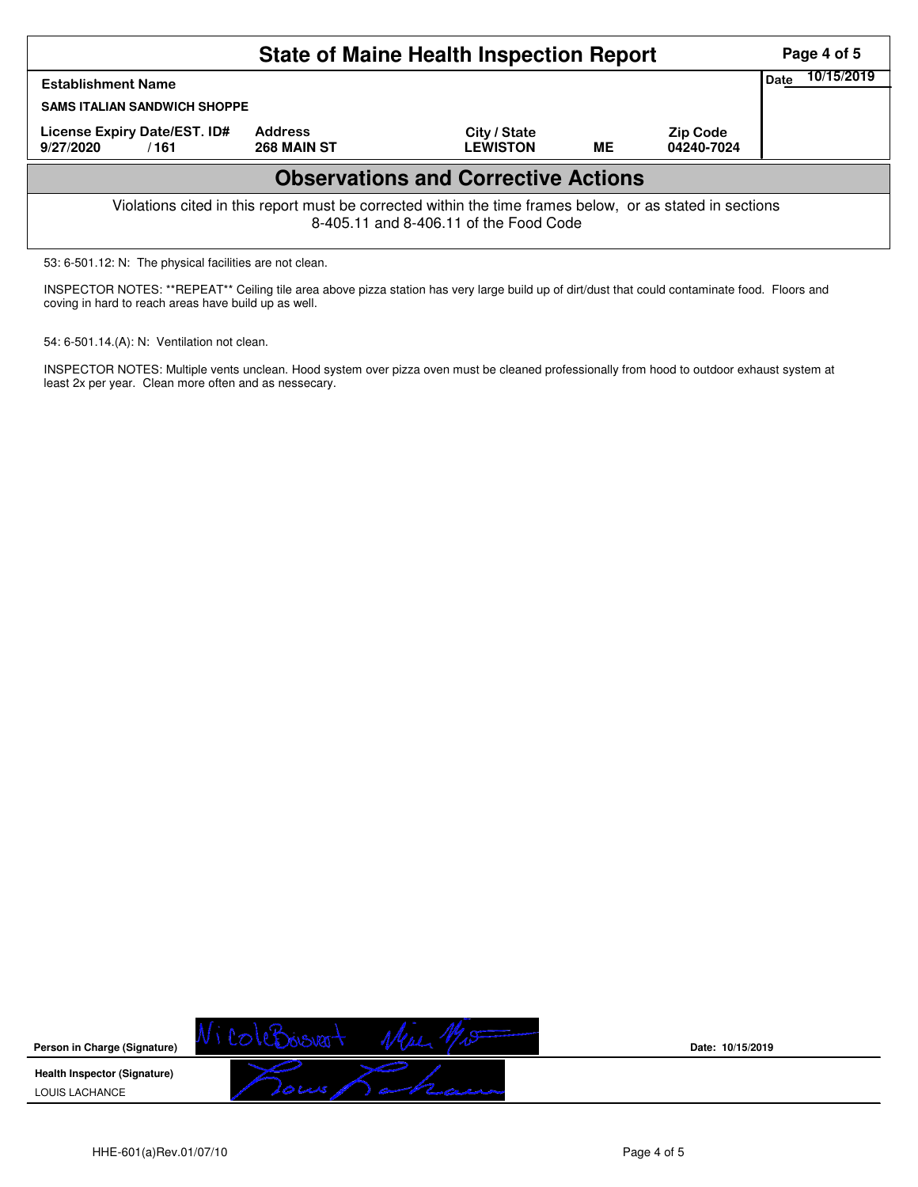| <b>State of Maine Health Inspection Report</b>                                                                                                     |                                      |                                 |           |                               |      | Page 4 of 5 |  |
|----------------------------------------------------------------------------------------------------------------------------------------------------|--------------------------------------|---------------------------------|-----------|-------------------------------|------|-------------|--|
| <b>Establishment Name</b><br><b>SAMS ITALIAN SANDWICH SHOPPE</b>                                                                                   |                                      |                                 |           |                               | Date | 10/15/2019  |  |
| License Expiry Date/EST. ID#<br>9/27/2020<br>/161                                                                                                  | <b>Address</b><br><b>268 MAIN ST</b> | City / State<br><b>LEWISTON</b> | <b>ME</b> | <b>Zip Code</b><br>04240-7024 |      |             |  |
| <b>Observations and Corrective Actions</b>                                                                                                         |                                      |                                 |           |                               |      |             |  |
| Violations cited in this report must be corrected within the time frames below, or as stated in sections<br>8-405.11 and 8-406.11 of the Food Code |                                      |                                 |           |                               |      |             |  |
| 53: 6-501.12: N: The physical facilities are not clean.                                                                                            |                                      |                                 |           |                               |      |             |  |

INSPECTOR NOTES: \*\*REPEAT\*\* Ceiling tile area above pizza station has very large build up of dirt/dust that could contaminate food. Floors and coving in hard to reach areas have build up as well.

54: 6-501.14.(A): N: Ventilation not clean.

INSPECTOR NOTES: Multiple vents unclean. Hood system over pizza oven must be cleaned professionally from hood to outdoor exhaust system at least 2x per year. Clean more often and as nessecary.